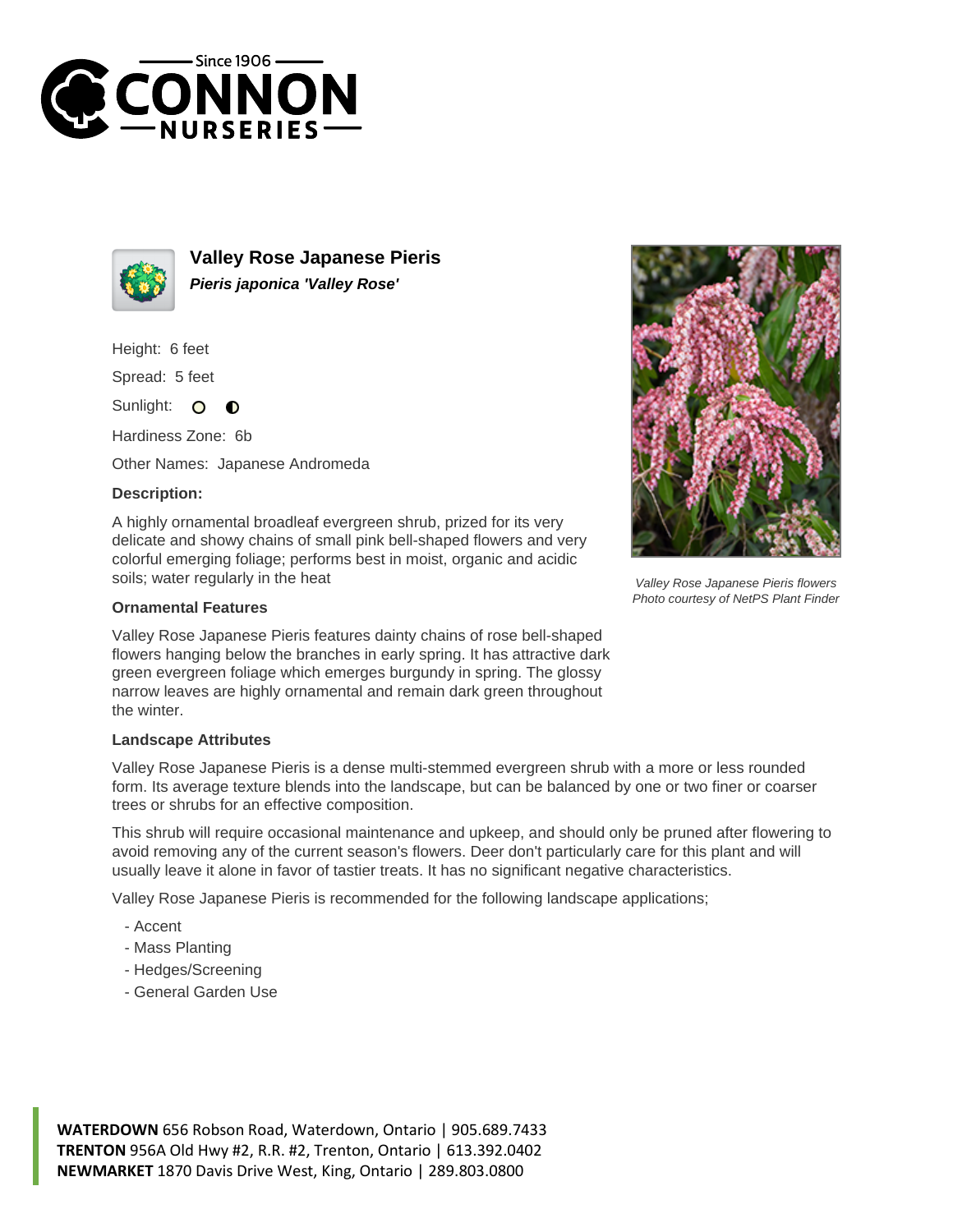



**Valley Rose Japanese Pieris Pieris japonica 'Valley Rose'**

Height: 6 feet

Spread: 5 feet

Sunlight:  $\circ$  $\bullet$ 

Hardiness Zone: 6b

Other Names: Japanese Andromeda

## **Description:**

A highly ornamental broadleaf evergreen shrub, prized for its very delicate and showy chains of small pink bell-shaped flowers and very colorful emerging foliage; performs best in moist, organic and acidic soils; water regularly in the heat



Valley Rose Japanese Pieris flowers Photo courtesy of NetPS Plant Finder

## **Ornamental Features**

Valley Rose Japanese Pieris features dainty chains of rose bell-shaped flowers hanging below the branches in early spring. It has attractive dark green evergreen foliage which emerges burgundy in spring. The glossy narrow leaves are highly ornamental and remain dark green throughout the winter.

## **Landscape Attributes**

Valley Rose Japanese Pieris is a dense multi-stemmed evergreen shrub with a more or less rounded form. Its average texture blends into the landscape, but can be balanced by one or two finer or coarser trees or shrubs for an effective composition.

This shrub will require occasional maintenance and upkeep, and should only be pruned after flowering to avoid removing any of the current season's flowers. Deer don't particularly care for this plant and will usually leave it alone in favor of tastier treats. It has no significant negative characteristics.

Valley Rose Japanese Pieris is recommended for the following landscape applications;

- Accent
- Mass Planting
- Hedges/Screening
- General Garden Use

**WATERDOWN** 656 Robson Road, Waterdown, Ontario | 905.689.7433 **TRENTON** 956A Old Hwy #2, R.R. #2, Trenton, Ontario | 613.392.0402 **NEWMARKET** 1870 Davis Drive West, King, Ontario | 289.803.0800